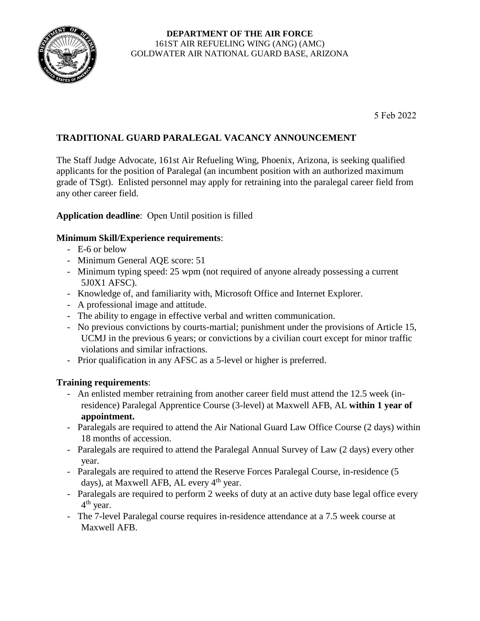

5 Feb 2022

## **TRADITIONAL GUARD PARALEGAL VACANCY ANNOUNCEMENT**

The Staff Judge Advocate, 161st Air Refueling Wing, Phoenix, Arizona, is seeking qualified applicants for the position of Paralegal (an incumbent position with an authorized maximum grade of TSgt). Enlisted personnel may apply for retraining into the paralegal career field from any other career field.

**Application deadline**: Open Until position is filled

## **Minimum Skill/Experience requirements**:

- E-6 or below
- Minimum General AQE score: 51
- Minimum typing speed: 25 wpm (not required of anyone already possessing a current 5J0X1 AFSC).
- Knowledge of, and familiarity with, Microsoft Office and Internet Explorer.
- A professional image and attitude.
- The ability to engage in effective verbal and written communication.
- No previous convictions by courts-martial; punishment under the provisions of Article 15, UCMJ in the previous 6 years; or convictions by a civilian court except for minor traffic violations and similar infractions.
- Prior qualification in any AFSC as a 5-level or higher is preferred.

## **Training requirements**:

- An enlisted member retraining from another career field must attend the 12.5 week (inresidence) Paralegal Apprentice Course (3-level) at Maxwell AFB, AL **within 1 year of appointment.**
- Paralegals are required to attend the Air National Guard Law Office Course (2 days) within 18 months of accession.
- Paralegals are required to attend the Paralegal Annual Survey of Law (2 days) every other year.
- Paralegals are required to attend the Reserve Forces Paralegal Course, in-residence (5 days), at Maxwell AFB, AL every  $4<sup>th</sup>$  year.
- Paralegals are required to perform 2 weeks of duty at an active duty base legal office every 4<sup>th</sup> year.
- The 7-level Paralegal course requires in-residence attendance at a 7.5 week course at Maxwell AFB.